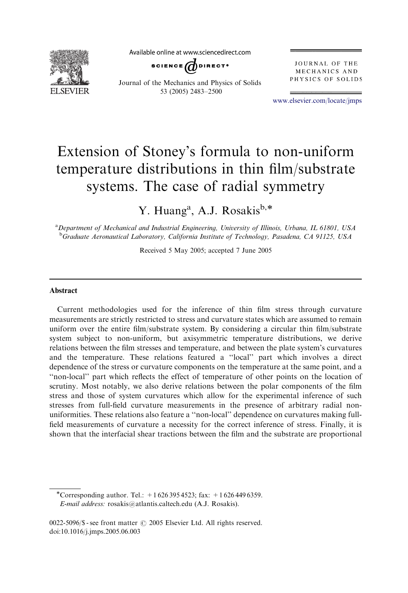

Available online at www.sciencedirect.com



Journal of the Mechanics and Physics of Solids 53 (2005) 2483–2500

**JOURNAL OF THE** MECHANICS AND PHYSICS OF SOLIDS

<www.elsevier.com/locate/jmps>

# Extension of Stoney's formula to non-uniform temperature distributions in thin film/substrate systems. The case of radial symmetry

Y. Huang<sup>a</sup>, A.J. Rosakis<sup>b,\*</sup>

<sup>a</sup> Department of Mechanical and Industrial Engineering, University of Illinois, Urbana, IL 61801, USA <sup>b</sup>Graduate Aeronautical Laboratory, California Institute of Technology, Pasadena, CA 91125, USA

Received 5 May 2005; accepted 7 June 2005

### **Abstract**

Current methodologies used for the inference of thin film stress through curvature measurements are strictly restricted to stress and curvature states which are assumed to remain uniform over the entire film/substrate system. By considering a circular thin film/substrate system subject to non-uniform, but axisymmetric temperature distributions, we derive relations between the film stresses and temperature, and between the plate system's curvatures and the temperature. These relations featured a ''local'' part which involves a direct dependence of the stress or curvature components on the temperature at the same point, and a ''non-local'' part which reflects the effect of temperature of other points on the location of scrutiny. Most notably, we also derive relations between the polar components of the film stress and those of system curvatures which allow for the experimental inference of such stresses from full-field curvature measurements in the presence of arbitrary radial nonuniformities. These relations also feature a ''non-local'' dependence on curvatures making fullfield measurements of curvature a necessity for the correct inference of stress. Finally, it is shown that the interfacial shear tractions between the filmand the substrate are proportional

<sup>\*</sup>Corresponding author. Tel.:  $+16263954523$ ; fax:  $+16264496359$ . E-mail address: rosakis@atlantis.caltech.edu (A.J. Rosakis).

 $0022-5096$ /\$ - see front matter  $\odot$  2005 Elsevier Ltd. All rights reserved. doi:10.1016/j.jmps.2005.06.003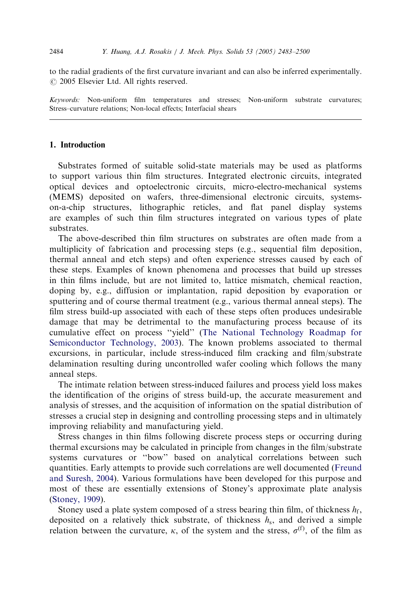to the radial gradients of the first curvature invariant and can also be inferred experimentally.  $\odot$  2005 Elsevier Ltd. All rights reserved.

Keywords: Non-uniform film temperatures and stresses; Non-uniform substrate curvatures; Stress–curvature relations; Non-local effects; Interfacial shears

# 1. Introduction

Substrates formed of suitable solid-state materials may be used as platforms to support various thin filmstructures. Integrated electronic circuits, integrated optical devices and optoelectronic circuits, micro-electro-mechanical systems (MEMS) deposited on wafers, three-dimensional electronic circuits, systemson-a-chip structures, lithographic reticles, and flat panel display systems are examples of such thin film structures integrated on various types of plate substrates.

The above-described thin film structures on substrates are often made from a multiplicity of fabrication and processing steps (e.g., sequential film deposition, thermal anneal and etch steps) and often experience stresses caused by each of these steps. Examples of known phenomena and processes that build up stresses in thin films include, but are not limited to, lattice mismatch, chemical reaction, doping by, e.g., diffusion or implantation, rapid deposition by evaporation or sputtering and of course thermal treatment (e.g., various thermal anneal steps). The film stress build-up associated with each of these steps often produces undesirable damage that may be detrimental to the manufacturing process because of its cumulative effect on process ''yield'' [\(The National Technology Roadmap for](#page-17-0) [Semiconductor Technology, 2003](#page-17-0)). The known problems associated to thermal excursions, in particular, include stress-induced film cracking and film/substrate delamination resulting during uncontrolled wafer cooling which follows the many anneal steps.

The intimate relation between stress-induced failures and process yield loss makes the identification of the origins of stress build-up, the accurate measurement and analysis of stresses, and the acquisition of information on the spatial distribution of stresses a crucial step in designing and controlling processing steps and in ultimately improving reliability and manufacturing yield.

Stress changes in thin films following discrete process steps or occurring during thermal excursions may be calculated in principle from changes in the film/substrate systems curvatures or ''bow'' based on analytical correlations between such quantities. Early attempts to provide such correlations are well documented ([Freund](#page-17-0) [and Suresh, 2004\)](#page-17-0). Various formulations have been developed for this purpose and most of these are essentially extensions of Stoney's approximate plate analysis [\(Stoney, 1909](#page-17-0)).

Stoney used a plate system composed of a stress bearing thin film, of thickness  $h_f$ , deposited on a relatively thick substrate, of thickness  $h_s$ , and derived a simple relation between the curvature,  $\kappa$ , of the system and the stress,  $\sigma^{(f)}$ , of the film as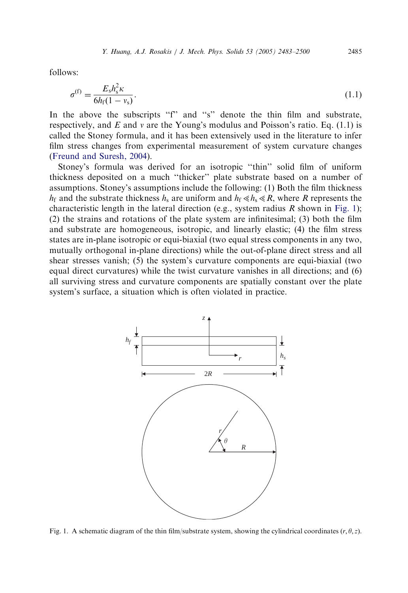<span id="page-2-0"></span>follows:

$$
\sigma^{(f)} = \frac{E_s h_s^2 \kappa}{6h_f(1 - v_s)}.
$$
\n(1.1)

In the above the subscripts "f" and "s" denote the thin film and substrate, respectively, and E and v are the Young's modulus and Poisson's ratio. Eq.  $(1.1)$  is called the Stoney formula, and it has been extensively used in the literature to infer film stress changes from experimental measurement of system curvature changes [\(Freund and Suresh, 2004\)](#page-17-0).

Stoney's formula was derived for an isotropic ''thin'' solid film of uniform thickness deposited on a much ''thicker'' plate substrate based on a number of assumptions. Stoney's assumptions include the following: (1) Both the film thickness  $h_f$  and the substrate thickness  $h_s$  are uniform and  $h_f \ll h_s \ll R$ , where R represents the characteristic length in the lateral direction (e.g., system radius  $R$  shown in Fig. 1);  $(2)$  the strains and rotations of the plate system are infinitesimal;  $(3)$  both the film and substrate are homogeneous, isotropic, and linearly elastic; (4) the film stress states are in-plane isotropic or equi-biaxial (two equal stress components in any two, mutually orthogonal in-plane directions) while the out-of-plane direct stress and all shear stresses vanish; (5) the system's curvature components are equi-biaxial (two equal direct curvatures) while the twist curvature vanishes in all directions; and (6) all surviving stress and curvature components are spatially constant over the plate system's surface, a situation which is often violated in practice.



Fig. 1. A schematic diagram of the thin film/substrate system, showing the cylindrical coordinates  $(r, \theta, z)$ .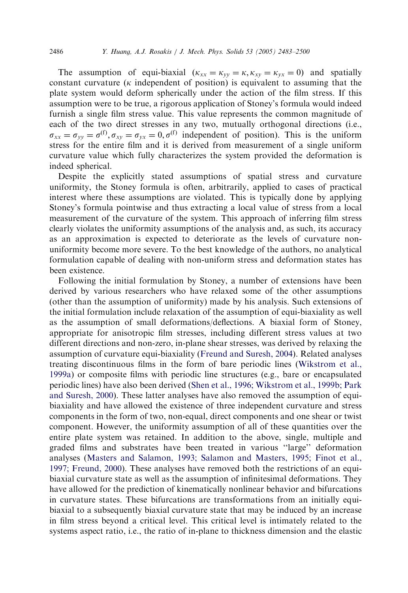The assumption of equi-biaxial  $(\kappa_{xx} = \kappa_{yy} = \kappa, \kappa_{xy} = \kappa_{yx} = 0)$  and spatially constant curvature ( $\kappa$  independent of position) is equivalent to assuming that the plate systemwould deformspherically under the action of the filmstress. If this assumption were to be true, a rigorous application of Stoney's formula would indeed furnish a single film stress value. This value represents the common magnitude of each of the two direct stresses in any two, mutually orthogonal directions (i.e.,  $\sigma_{xx} = \sigma_{yy} = \sigma^{(f)}, \sigma_{xy} = \sigma_{yx} = 0, \sigma^{(f)}$  independent of position). This is the uniform stress for the entire film and it is derived from measurement of a single uniform curvature value which fully characterizes the systemprovided the deformation is indeed spherical.

Despite the explicitly stated assumptions of spatial stress and curvature uniformity, the Stoney formula is often, arbitrarily, applied to cases of practical interest where these assumptions are violated. This is typically done by applying Stoney's formula pointwise and thus extracting a local value of stress from a local measurement of the curvature of the system. This approach of inferring film stress clearly violates the uniformity assumptions of the analysis and, as such, its accuracy as an approximation is expected to deteriorate as the levels of curvature nonuniformity become more severe. To the best knowledge of the authors, no analytical formulation capable of dealing with non-uniform stress and deformation states has been existence.

Following the initial formulation by Stoney, a number of extensions have been derived by various researchers who have relaxed some of the other assumptions (other than the assumption of uniformity) made by his analysis. Such extensions of the initial formulation include relaxation of the assumption of equi-biaxiality as well as the assumption of small deformations/deflections. A biaxial form of Stoney, appropriate for anisotropic filmstresses, including different stress values at two different directions and non-zero, in-plane shear stresses, was derived by relaxing the assumption of curvature equi-biaxiality ([Freund and Suresh, 2004](#page-17-0)). Related analyses treating discontinuous films in the form of bare periodic lines [\(Wikstromet al.,](#page-17-0) [1999a\)](#page-17-0) or composite films with periodic line structures (e.g., bare or encapsulated periodic lines) have also been derived [\(Shen et al., 1996; Wikstromet al., 1999b; Park](#page-17-0) [and Suresh, 2000](#page-17-0)). These latter analyses have also removed the assumption of equibiaxiality and have allowed the existence of three independent curvature and stress components in the form of two, non-equal, direct components and one shear or twist component. However, the uniformity assumption of all of these quantities over the entire plate systemwas retained. In addition to the above, single, multiple and graded films and substrates have been treated in various ''large'' deformation analyses ([Masters and Salamon, 1993; Salamon and Masters, 1995; Finot et al.,](#page-17-0) [1997; Freund, 2000\)](#page-17-0). These analyses have removed both the restrictions of an equibiaxial curvature state as well as the assumption of infinitesimal deformations. They have allowed for the prediction of kinematically nonlinear behavior and bifurcations in curvature states. These bifurcations are transformations from an initially equibiaxial to a subsequently biaxial curvature state that may be induced by an increase in filmstress beyond a critical level. This critical level is intimately related to the systems aspect ratio, i.e., the ratio of in-plane to thickness dimension and the elastic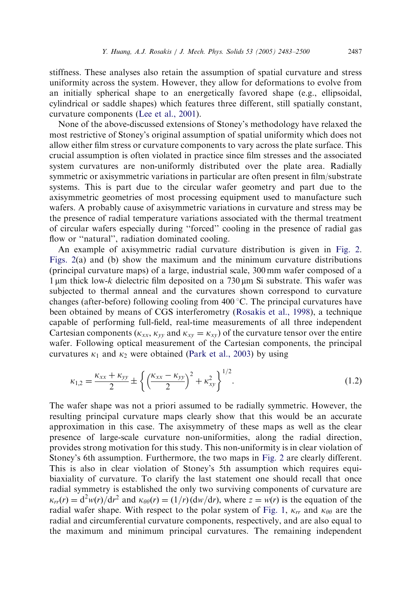stiffness. These analyses also retain the assumption of spatial curvature and stress uniformity across the system. However, they allow for deformations to evolve from an initially spherical shape to an energetically favored shape (e.g., ellipsoidal, cylindrical or saddle shapes) which features three different, still spatially constant, curvature components [\(Lee et al., 2001](#page-17-0)).

None of the above-discussed extensions of Stoney's methodology have relaxed the most restrictive of Stoney's original assumption of spatial uniformity which does not allow either filmstress or curvature components to vary across the plate surface. This crucial assumption is often violated in practice since film stresses and the associated system curvatures are non-uniformly distributed over the plate area. Radially symmetric or axisymmetric variations in particular are often present in film/substrate systems. This is part due to the circular wafer geometry and part due to the axisymmetric geometries of most processing equipment used to manufacture such wafers. A probably cause of axisymmetric variations in curvature and stress may be the presence of radial temperature variations associated with the thermal treatment of circular wafers especially during ''forced'' cooling in the presence of radial gas flow or ''natural'', radiation dominated cooling.

An example of axisymmetric radial curvature distribution is given in [Fig. 2.](#page-5-0) [Figs. 2](#page-5-0)(a) and (b) show the maximum and the minimum curvature distributions (principal curvature maps) of a large, industrial scale, 300 mm wafer composed of a 1  $\mu$ m thick low-k dielectric film deposited on a 730  $\mu$ m Si substrate. This wafer was subjected to thermal anneal and the curvatures shown correspond to curvature changes (after-before) following cooling from  $400^{\circ}$ C. The principal curvatures have been obtained by means of CGS interferometry ([Rosakis et al., 1998](#page-17-0)), a technique capable of performing full-field, real-time measurements of all three independent Cartesian components ( $\kappa_{xx}, \kappa_{yy}$  and  $\kappa_{xy} = \kappa_{xy}$ ) of the curvature tensor over the entire wafer. Following optical measurement of the Cartesian components, the principal curvatures  $\kappa_1$  and  $\kappa_2$  were obtained ([Park et al., 2003\)](#page-17-0) by using

$$
\kappa_{1,2} = \frac{\kappa_{xx} + \kappa_{yy}}{2} \pm \left\{ \left( \frac{\kappa_{xx} - \kappa_{yy}}{2} \right)^2 + \kappa_{xy}^2 \right\}^{1/2}.
$$
 (1.2)

The wafer shape was not a priori assumed to be radially symmetric. However, the resulting principal curvature maps clearly show that this would be an accurate approximation in this case. The axisymmetry of these maps as well as the clear presence of large-scale curvature non-uniformities, along the radial direction, provides strong motivation for this study. This non-uniformity is in clear violation of Stoney's 6th assumption. Furthermore, the two maps in [Fig. 2](#page-5-0) are clearly different. This is also in clear violation of Stoney's 5th assumption which requires equibiaxiality of curvature. To clarify the last statement one should recall that once radial symmetry is established the only two surviving components of curvature are  $\kappa_{rr}(r) = d^2 w(r)/dr^2$  and  $\kappa_{\theta\theta}(r) = (1/r)(dw/dr)$ , where  $z = w(r)$  is the equation of the radial wafer shape. With respect to the polar system of [Fig. 1,](#page-2-0)  $\kappa_{rr}$  and  $\kappa_{\theta\theta}$  are the radial and circumferential curvature components, respectively, and are also equal to the maximum and minimum principal curvatures. The remaining independent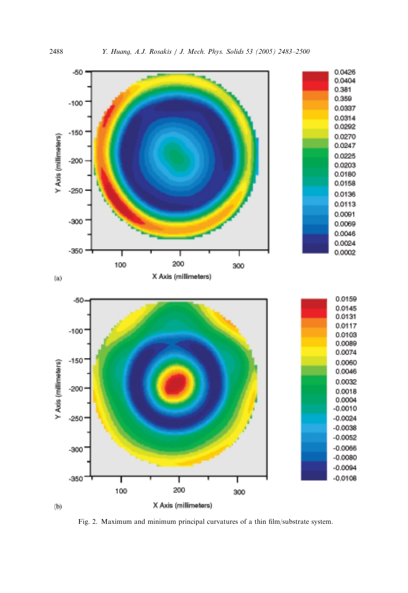

Fig. 2. Maximum and minimum principal curvatures of a thin film/substrate system.

<span id="page-5-0"></span>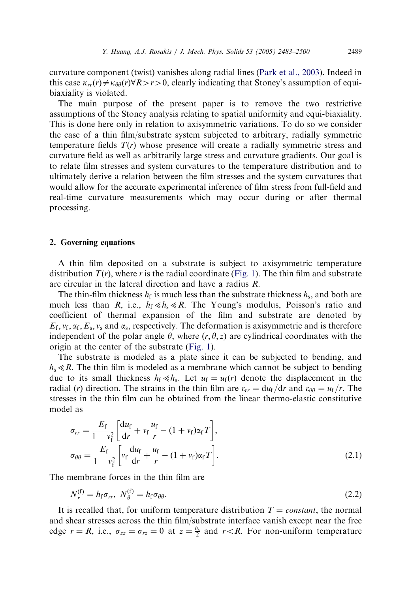curvature component (twist) vanishes along radial lines ([Park et al., 2003\)](#page-17-0). Indeed in this case  $\kappa_{rr}(r) \neq \kappa_{\theta\theta}(r) \forall R>r>0$ , clearly indicating that Stoney's assumption of equibiaxiality is violated.

The main purpose of the present paper is to remove the two restrictive assumptions of the Stoney analysis relating to spatial uniformity and equi-biaxiality. This is done here only in relation to axisymmetric variations. To do so we consider the case of a thin film/substrate system subjected to arbitrary, radially symmetric temperature fields  $T(r)$  whose presence will create a radially symmetric stress and curvature field as well as arbitrarily large stress and curvature gradients. Our goal is to relate filmstresses and systemcurvatures to the temperature distribution and to ultimately derive a relation between the film stresses and the system curvatures that would allow for the accurate experimental inference of film stress from full-field and real-time curvature measurements which may occur during or after thermal processing.

## 2. Governing equations

A thin film deposited on a substrate is subject to axisymmetric temperature distribution  $T(r)$ , where r is the radial coordinate ([Fig. 1](#page-2-0)). The thin film and substrate are circular in the lateral direction and have a radius R.

The thin-film thickness  $h_f$  is much less than the substrate thickness  $h_s$ , and both are much less than R, i.e.,  $h_f \le h_s \le R$ . The Young's modulus, Poisson's ratio and coefficient of thermal expansion of the film and substrate are denoted by  $E_f$ ,  $v_f$ ,  $\alpha_f$ ,  $E_s$ ,  $v_s$  and  $\alpha_s$ , respectively. The deformation is axisymmetric and is therefore independent of the polar angle  $\theta$ , where  $(r, \theta, z)$  are cylindrical coordinates with the origin at the center of the substrate [\(Fig. 1\)](#page-2-0).

The substrate is modeled as a plate since it can be subjected to bending, and  $h_s \ll R$ . The thin film is modeled as a membrane which cannot be subject to bending due to its small thickness  $h_f \ll h_s$ . Let  $u_f = u_f(r)$  denote the displacement in the radial (*r*) direction. The strains in the thin film are  $\varepsilon_{rr} = du_f/dr$  and  $\varepsilon_{\theta\theta} = u_f/r$ . The stresses in the thin film can be obtained from the linear thermo-elastic constitutive model as

$$
\sigma_{rr} = \frac{E_{\rm f}}{1 - v_{\rm f}^2} \left[ \frac{\mathrm{d}u_{\rm f}}{\mathrm{d}r} + v_{\rm f} \frac{u_{\rm f}}{r} - (1 + v_{\rm f})\alpha_{\rm f} T \right],
$$
  
\n
$$
\sigma_{\theta\theta} = \frac{E_{\rm f}}{1 - v_{\rm f}^2} \left[ v_{\rm f} \frac{\mathrm{d}u_{\rm f}}{\mathrm{d}r} + \frac{u_{\rm f}}{r} - (1 + v_{\rm f})\alpha_{\rm f} T \right].
$$
\n(2.1)

The membrane forces in the thin film are

$$
N_r^{(\text{f})} = h_{\text{f}} \sigma_{rr}, \ N_\theta^{(\text{f})} = h_{\text{f}} \sigma_{\theta\theta}.
$$
\n
$$
(2.2)
$$

It is recalled that, for uniform temperature distribution  $T = constant$ , the normal and shear stresses across the thin film/substrate interface vanish except near the free edge  $r = R$ , i.e.,  $\sigma_{zz} = \sigma_{rz} = 0$  at  $z = \frac{h_s}{2}$  and  $r < R$ . For non-uniform temperature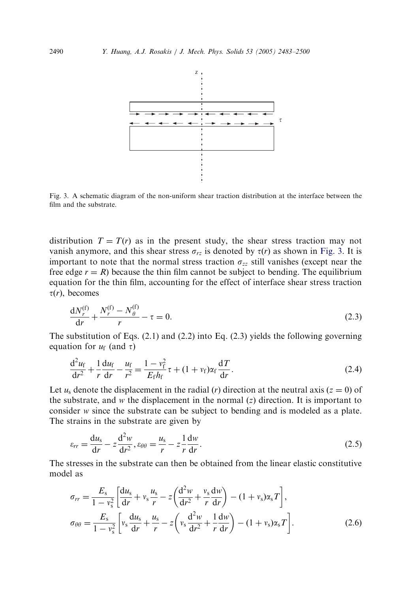

Fig. 3. A schematic diagram of the non-uniform shear traction distribution at the interface between the film and the substrate.

distribution  $T = T(r)$  as in the present study, the shear stress traction may not vanish anymore, and this shear stress  $\sigma_{rz}$  is denoted by  $\tau(r)$  as shown in Fig. 3. It is important to note that the normal stress traction  $\sigma_{zz}$  still vanishes (except near the free edge  $r = R$ ) because the thin film cannot be subject to bending. The equilibrium equation for the thin film, accounting for the effect of interface shear stress traction  $\tau(r)$ , becomes

$$
\frac{dN_r^{(f)}}{dr} + \frac{N_r^{(f)} - N_\theta^{(f)}}{r} - \tau = 0.
$$
\n(2.3)

The substitution of Eqs. (2.1) and (2.2) into Eq. (2.3) yields the following governing equation for  $u_f$  (and  $\tau$ )

$$
\frac{d^2 u_f}{dr^2} + \frac{1}{r} \frac{du_f}{dr} - \frac{u_f}{r^2} = \frac{1 - v_f^2}{E_f h_f} \tau + (1 + v_f) \alpha_f \frac{dT}{dr}.
$$
 (2.4)

Let  $u_s$  denote the displacement in the radial (*r*) direction at the neutral axis  $(z = 0)$  of the substrate, and w the displacement in the normal  $(z)$  direction. It is important to consider w since the substrate can be subject to bending and is modeled as a plate. The strains in the substrate are given by

$$
\varepsilon_{rr} = \frac{\mathrm{d}u_{\mathrm{s}}}{\mathrm{d}r} - z \frac{\mathrm{d}^2 w}{\mathrm{d}r^2}, \varepsilon_{\theta\theta} = \frac{u_{\mathrm{s}}}{r} - z \frac{1}{r} \frac{\mathrm{d}w}{\mathrm{d}r}.
$$
\n(2.5)

The stresses in the substrate can then be obtained fromthe linear elastic constitutive model as

$$
\sigma_{rr} = \frac{E_{s}}{1 - v_{s}^{2}} \left[ \frac{du_{s}}{dr} + v_{s} \frac{u_{s}}{r} - z \left( \frac{d^{2}w}{dr^{2}} + \frac{v_{s}}{r} \frac{dw}{dr} \right) - (1 + v_{s}) \alpha_{s} T \right],
$$
  
\n
$$
\sigma_{\theta\theta} = \frac{E_{s}}{1 - v_{s}^{2}} \left[ v_{s} \frac{du_{s}}{dr} + \frac{u_{s}}{r} - z \left( v_{s} \frac{d^{2}w}{dr^{2}} + \frac{1}{r} \frac{dw}{dr} \right) - (1 + v_{s}) \alpha_{s} T \right].
$$
\n(2.6)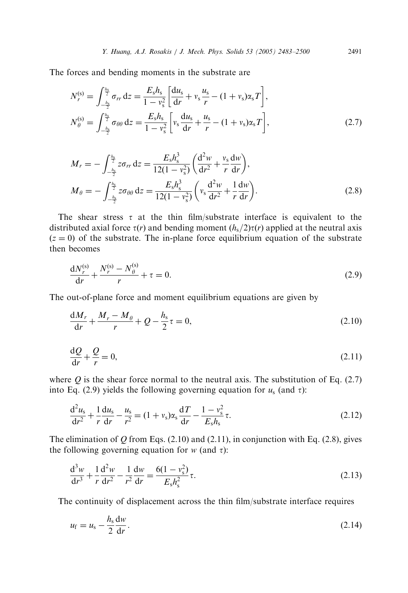The forces and bending moments in the substrate are

$$
N_r^{(s)} = \int_{-\frac{h_s}{2}}^{\frac{h_s}{2}} \sigma_{rr} dz = \frac{E_s h_s}{1 - v_s^2} \left[ \frac{du_s}{dr} + v_s \frac{u_s}{r} - (1 + v_s) \alpha_s T \right],
$$
  
\n
$$
N_\theta^{(s)} = \int_{-\frac{h_s}{2}}^{\frac{h_s}{2}} \sigma_{\theta\theta} dz = \frac{E_s h_s}{1 - v_s^2} \left[ v_s \frac{du_s}{dr} + \frac{u_s}{r} - (1 + v_s) \alpha_s T \right],
$$
\n(2.7)

$$
M_r = -\int_{-\frac{h_s}{2}}^{\frac{h_s}{2}} z \sigma_{rr} dz = \frac{E_s h_s^3}{12(1 - v_s^2)} \left( \frac{d^2 w}{dr^2} + \frac{v_s}{r} \frac{dw}{dr} \right),
$$
  
\n
$$
M_\theta = -\int_{-\frac{h_s}{2}}^{\frac{h_s}{2}} z \sigma_{\theta\theta} dz = \frac{E_s h_s^3}{12(1 - v_s^2)} \left( v_s \frac{d^2 w}{dr^2} + \frac{1}{r} \frac{dw}{dr} \right).
$$
\n(2.8)

The shear stress  $\tau$  at the thin film/substrate interface is equivalent to the distributed axial force  $\tau(r)$  and bending moment  $(h_s/2)\tau(r)$  applied at the neutral axis  $(z = 0)$  of the substrate. The in-plane force equilibrium equation of the substrate then becomes

$$
\frac{dN_r^{(s)}}{dr} + \frac{N_r^{(s)} - N_\theta^{(s)}}{r} + \tau = 0.
$$
\n(2.9)

The out-of-plane force and moment equilibrium equations are given by

$$
\frac{\mathrm{d}M_r}{\mathrm{d}r} + \frac{M_r - M_\theta}{r} + Q - \frac{h_s}{2}\tau = 0,\tag{2.10}
$$

$$
\frac{\mathrm{d}Q}{\mathrm{d}r} + \frac{Q}{r} = 0,\tag{2.11}
$$

where  $Q$  is the shear force normal to the neutral axis. The substitution of Eq. (2.7) into Eq. (2.9) yields the following governing equation for  $u_s$  (and  $\tau$ ):

$$
\frac{d^2 u_s}{dr^2} + \frac{1}{r} \frac{du_s}{dr} - \frac{u_s}{r^2} = (1 + v_s) \alpha_s \frac{dT}{dr} - \frac{1 - v_s^2}{E_s h_s} \tau.
$$
\n(2.12)

The elimination of O from Eqs.  $(2.10)$  and  $(2.11)$ , in conjunction with Eq.  $(2.8)$ , gives the following governing equation for w (and  $\tau$ ):

$$
\frac{d^3w}{dr^3} + \frac{1}{r}\frac{d^2w}{dr^2} - \frac{1}{r^2}\frac{dw}{dr} = \frac{6(1 - v_s^2)}{E_s h_s^2} \tau.
$$
\n(2.13)

The continuity of displacement across the thin film/substrate interface requires

$$
u_{\rm f} = u_{\rm s} - \frac{h_{\rm s} \, \mathrm{d} w}{2 \, \mathrm{d} r}.\tag{2.14}
$$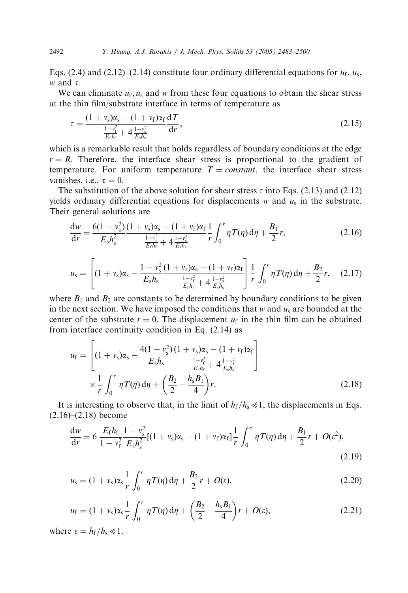Eqs. (2.4) and (2.12)–(2.14) constitute four ordinary differential equations for  $u_f$ ,  $u_s$ , w and  $\tau$ .

We can eliminate  $u_f, u_s$  and w from these four equations to obtain the shear stress at the thin film/substrate interface in terms of temperature as

$$
\tau = \frac{(1 + v_{\rm s})\alpha_{\rm s} - (1 + v_{\rm f})\alpha_{\rm f}}{\frac{1 - v_{\rm f}^2}{E_{\rm f}h_{\rm f}} + 4\frac{1 - v_{\rm s}^2}{E_{\rm s}h_{\rm s}}} \frac{\mathrm{d}T}{\mathrm{d}r},\tag{2.15}
$$

which is a remarkable result that holds regardless of boundary conditions at the edge  $r = R$ . Therefore, the interface shear stress is proportional to the gradient of temperature. For uniform temperature  $T = constant$ , the interface shear stress vanishes, i.e.,  $\tau = 0$ .

The substitution of the above solution for shear stress  $\tau$  into Eqs. (2.13) and (2.12) yields ordinary differential equations for displacements w and  $u<sub>s</sub>$  in the substrate. Their general solutions are

$$
\frac{dw}{dr} = \frac{6(1 - v_s^2)(1 + v_s)\alpha_s - (1 + v_f)\alpha_f}{E_s h_s^2} \frac{1}{E_t h_f} + 4\frac{1 - v_s^2}{E_s h_s} \frac{1}{r} \int_0^r \eta T(\eta) d\eta + \frac{B_1}{2} r,
$$
\n(2.16)

$$
u_{s} = \left[ (1 + v_{s})\alpha_{s} - \frac{1 - v_{s}^{2}}{E_{s}h_{s}} \frac{(1 + v_{s})\alpha_{s} - (1 + v_{f})\alpha_{f}}{\frac{1 - v_{f}^{2}}{E_{f}h_{f}} + 4\frac{1 - v_{s}^{2}}{E_{s}h_{s}}}\right] \frac{1}{r} \int_{0}^{r} \eta T(\eta) d\eta + \frac{B_{2}}{2}r, \quad (2.17)
$$

where  $B_1$  and  $B_2$  are constants to be determined by boundary conditions to be given in the next section. We have imposed the conditions that w and  $u_s$  are bounded at the center of the substrate  $r = 0$ . The displacement  $u_f$  in the thin film can be obtained from interface continuity condition in Eq.  $(2.14)$  as

$$
u_{\rm f} = \left[ (1 + v_{\rm s})\alpha_{\rm s} - \frac{4(1 - v_{\rm s}^2)}{E_{\rm s}h_{\rm s}} \frac{(1 + v_{\rm s})\alpha_{\rm s} - (1 + v_{\rm f})\alpha_{\rm f}}{\frac{1 - v_{\rm f}^2}{E_{\rm f}h_{\rm f}} + 4\frac{1 - v_{\rm s}^2}{E_{\rm s}h_{\rm s}}} \right]
$$
  
 
$$
\times \frac{1}{r} \int_0^r \eta T(\eta) \,d\eta + \left( \frac{B_2}{2} - \frac{h_{\rm s}B_1}{4} \right) r.
$$
 (2.18)

It is interesting to observe that, in the limit of  $h_f/h_s \ll 1$ , the displacements in Eqs.  $(2.16)$ – $(2.18)$  become

$$
\frac{dw}{dr} = 6 \frac{E_f h_f}{1 - v_f^2} \frac{1 - v_s^2}{E_s h_s^2} [(1 + v_s)\alpha_s - (1 + v_f)\alpha_f] \frac{1}{r} \int_0^r \eta T(\eta) d\eta + \frac{B_1}{2} r + O(\varepsilon^2),
$$
\n(2.19)

$$
u_{s} = (1 + v_{s})\alpha_{s} \frac{1}{r} \int_{0}^{r} \eta T(\eta) d\eta + \frac{B_{2}}{2}r + O(\varepsilon), \qquad (2.20)
$$

$$
u_{\rm f} = (1 + v_{\rm s})\alpha_{\rm s} \frac{1}{r} \int_0^r \eta T(\eta) \, \mathrm{d}\eta + \left(\frac{B_2}{2} - \frac{h_{\rm s}B_1}{4}\right) r + O(\varepsilon),\tag{2.21}
$$

where  $\varepsilon=h_f/h_s\ll1$ .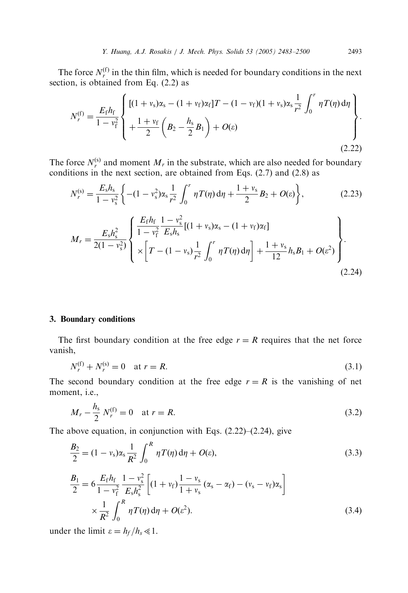The force  $N_r^{(f)}$  in the thin film, which is needed for boundary conditions in the next section, is obtained from Eq.  $(2.2)$  as

$$
N_r^{(\rm f)} = \frac{E_{\rm f} h_{\rm f}}{1 - v_{\rm f}^2} \left\{ \begin{aligned} &\left[ (1 + v_{\rm s}) \alpha_{\rm s} - (1 + v_{\rm f}) \alpha_{\rm f} \right] T - (1 - v_{\rm f}) (1 + v_{\rm s}) \alpha_{\rm s} \frac{1}{r^2} \int_0^r \eta T(\eta) d\eta \\ &+ \frac{1 + v_{\rm f}}{2} \left( B_2 - \frac{h_{\rm s}}{2} B_1 \right) + O(\varepsilon) \end{aligned} \right\}.
$$
\n(2.22)

The force  $N_r^{(s)}$  and moment  $M_r$  in the substrate, which are also needed for boundary conditions in the next section, are obtained from Eqs.  $(2.7)$  and  $(2.8)$  as

$$
N_r^{(\rm s)} = \frac{E_s h_{\rm s}}{1 - v_{\rm s}^2} \left\{ -(1 - v_{\rm s}^2) \alpha_{\rm s} \frac{1}{r^2} \int_0^r \eta T(\eta) \, \mathrm{d}\eta + \frac{1 + v_{\rm s}}{2} B_2 + O(\varepsilon) \right\},\tag{2.23}
$$

$$
M_r = \frac{E_s h_s^2}{2(1 - v_s^2)} \left\{ \frac{E_f h_f}{1 - v_f^2} \frac{1 - v_s^2}{E_s h_s} [(1 + v_s)\alpha_s - (1 + v_f)\alpha_f] \times \left[ T - (1 - v_s) \frac{1}{r^2} \int_0^r \eta T(\eta) d\eta \right] + \frac{1 + v_s}{12} h_s B_1 + O(\varepsilon^2) \right\}.
$$
\n(2.24)

# 3. Boundary conditions

The first boundary condition at the free edge  $r = R$  requires that the net force vanish,

$$
N_r^{(\text{f})} + N_r^{(\text{s})} = 0 \quad \text{at } r = R. \tag{3.1}
$$

The second boundary condition at the free edge  $r = R$  is the vanishing of net moment, i.e.,

$$
M_r - \frac{h_s}{2} N_r^{(f)} = 0 \quad \text{at } r = R. \tag{3.2}
$$

The above equation, in conjunction with Eqs. (2.22)–(2.24), give

$$
\frac{B_2}{2} = (1 - v_s)\alpha_s \frac{1}{R^2} \int_0^R \eta T(\eta) d\eta + O(\varepsilon),
$$
\n(3.3)

$$
\frac{B_1}{2} = 6 \frac{E_f h_f}{1 - v_f^2} \frac{1 - v_s^2}{E_s h_s^2} \left[ (1 + v_f) \frac{1 - v_s}{1 + v_s} \left( \alpha_s - \alpha_f \right) - (v_s - v_f) \alpha_s \right]
$$
  
 
$$
\times \frac{1}{R^2} \int_0^R \eta T(\eta) d\eta + O(\varepsilon^2).
$$
 (3.4)

under the limit  $\varepsilon = h_f/h_s \ll 1$ .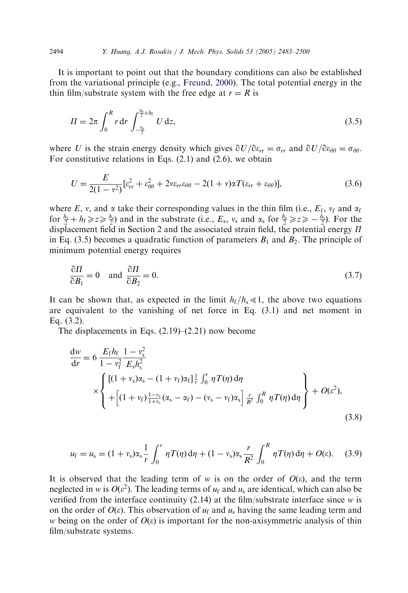It is important to point out that the boundary conditions can also be established fromthe variational principle (e.g., [Freund, 2000](#page-17-0)). The total potential energy in the thin film/substrate system with the free edge at  $r = R$  is

$$
\Pi = 2\pi \int_0^R r \, dr \int_{-\frac{h_s}{2}}^{\frac{h_s}{2} + h_f} U \, dz,
$$
\n(3.5)

where U is the strain energy density which gives  $\partial U/\partial \varepsilon_{rr} = \sigma_{rr}$  and  $\partial U/\partial \varepsilon_{\theta\theta} = \sigma_{\theta\theta}$ . For constitutive relations in Eqs. (2.1) and (2.6), we obtain

$$
U = \frac{E}{2(1 - v^2)} \left[ \varepsilon_{rr}^2 + \varepsilon_{\theta\theta}^2 + 2v \varepsilon_{rr} \varepsilon_{\theta\theta} - 2(1 + v)\alpha T(\varepsilon_{rr} + \varepsilon_{\theta\theta}) \right],\tag{3.6}
$$

where E, v, and  $\alpha$  take their corresponding values in the thin film (i.e.,  $E_f$ ,  $v_f$  and  $\alpha_f$ for  $\frac{h_s}{2} + h_f \geq z \geq \frac{h_s}{2}$  and in the substrate (i.e.,  $E_s$ ,  $v_s$  and  $\alpha_s$  for  $\frac{h_s}{2} \geq z \geq -\frac{h_s}{2}$ ). For the displacement field in Section 2 and the associated strain field, the potential energy  $\Pi$ in Eq. (3.5) becomes a quadratic function of parameters  $B_1$  and  $B_2$ . The principle of minimum potential energy requires

$$
\frac{\partial \Pi}{\partial B_1} = 0 \quad \text{and } \frac{\partial \Pi}{\partial B_2} = 0. \tag{3.7}
$$

It can be shown that, as expected in the limit  $h_f/h_s \ll 1$ , the above two equations are equivalent to the vanishing of net force in Eq. (3.1) and net moment in Eq. (3.2).

The displacements in Eqs. (2.19)–(2.21) now become

$$
\frac{dw}{dr} = 6 \frac{E_f h_f}{1 - v_f^2} \frac{1 - v_s^2}{E_s h_s^2} \times \left\{ \begin{aligned} &\left[ (1 + v_s)\alpha_s - (1 + v_f)\alpha_f \right]_r^1 \int_0^r \eta T(\eta) d\eta \\ &+ \left[ (1 + v_f) \frac{1 - v_s}{1 + v_s} (\alpha_s - \alpha_f) - (v_s - v_f) \alpha_s \right] \frac{r}{R^2} \int_0^R \eta T(\eta) d\eta \end{aligned} \right\} + O(\varepsilon^2),
$$
\n(3.8)

$$
u_{\rm f} = u_{\rm s} = (1 + v_{\rm s})\alpha_{\rm s} \frac{1}{r} \int_0^r \eta T(\eta) \, \mathrm{d}\eta + (1 - v_{\rm s})\alpha_{\rm s} \frac{r}{R^2} \int_0^R \eta T(\eta) \, \mathrm{d}\eta + O(\varepsilon). \tag{3.9}
$$

It is observed that the leading term of w is on the order of  $O(\varepsilon)$ , and the term neglected in w is  $O(\varepsilon^2)$ . The leading terms of  $u_f$  and  $u_s$  are identical, which can also be verified from the interface continuity  $(2.14)$  at the film/substrate interface since w is on the order of  $O(\varepsilon)$ . This observation of  $u_f$  and  $u_s$  having the same leading term and w being on the order of  $O(\varepsilon)$  is important for the non-axisymmetric analysis of thin film/substrate systems.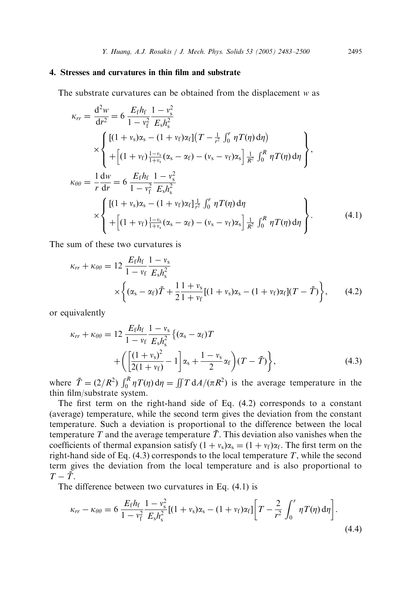## 4. Stresses and curvatures in thin film and substrate

The substrate curvatures can be obtained from the displacement  $w$  as

$$
\kappa_{rr} = \frac{d^2 w}{dr^2} = 6 \frac{E_f h_f}{1 - v_f^2} \frac{1 - v_s^2}{E_s h_s^2}
$$
\n
$$
\times \begin{cases}\n[(1 + v_s)\alpha_s - (1 + v_f)\alpha_f](T - \frac{1}{r^2} \int_0^r \eta T(\eta) d\eta) \\
+ \left[(1 + v_f)\frac{1 - v_s}{1 + v_s}(\alpha_s - \alpha_f) - (v_s - v_f)\alpha_s\right] \frac{1}{R^2} \int_0^R \eta T(\eta) d\eta\n\end{cases},
$$
\n
$$
\kappa_{\theta\theta} = \frac{1}{r} \frac{dw}{dr} = 6 \frac{E_f h_f}{1 - v_f^2} \frac{1 - v_s^2}{E_s h_s^2}
$$
\n
$$
\times \begin{cases}\n[(1 + v_s)\alpha_s - (1 + v_f)\alpha_f] \frac{1}{r^2} \int_0^r \eta T(\eta) d\eta \\
+ \left[(1 + v_f)\frac{1 - v_s}{1 + v_s}(\alpha_s - \alpha_f) - (v_s - v_f)\alpha_s\right] \frac{1}{R^2} \int_0^R \eta T(\eta) d\eta\n\end{cases} \tag{4.1}
$$

The sum of these two curvatures is

$$
\kappa_{rr} + \kappa_{\theta\theta} = 12 \frac{E_f h_f}{1 - v_f} \frac{1 - v_s}{E_s h_s^2} \times \left\{ (\alpha_s - \alpha_f) \bar{T} + \frac{1}{2} \frac{1 + v_s}{1 + v_f} [(1 + v_s)\alpha_s - (1 + v_f)\alpha_f](T - \bar{T}) \right\}, \quad (4.2)
$$

or equivalently

$$
\kappa_{rr} + \kappa_{\theta\theta} = 12 \frac{E_f h_f}{1 - v_f} \frac{1 - v_s}{E_s h_s^2} \{ (\alpha_s - \alpha_f) T + \left( \left[ \frac{(1 + v_s)^2}{2(1 + v_f)} - 1 \right] \alpha_s + \frac{1 - v_s}{2} \alpha_f \right) (T - \bar{T}) \},
$$
\n(4.3)

where  $\bar{T} = (2/R^2) \int_0^R \eta T(\eta) d\eta = \iint T dA/(\pi R^2)$  is the average temperature in the thin film/substrate system.

The first term on the right-hand side of Eq.  $(4.2)$  corresponds to a constant (average) temperature, while the second term gives the deviation from the constant temperature. Such a deviation is proportional to the difference between the local temperature T and the average temperature  $\overline{T}$ . This deviation also vanishes when the coefficients of thermal expansion satisfy  $(1 + v_s)\alpha_s = (1 + v_f)\alpha_f$ . The first term on the right-hand side of Eq.  $(4.3)$  corresponds to the local temperature T, while the second termgives the deviation fromthe local temperature and is also proportional to  $T - \bar{T}$ .

The difference between two curvatures in Eq. (4.1) is

$$
\kappa_{rr} - \kappa_{\theta\theta} = 6 \frac{E_f h_f}{1 - v_f^2} \frac{1 - v_s^2}{E_s h_s^2} [(1 + v_s)\alpha_s - (1 + v_f)\alpha_f] \left[ T - \frac{2}{r^2} \int_0^r \eta T(\eta) d\eta \right].
$$
\n(4.4)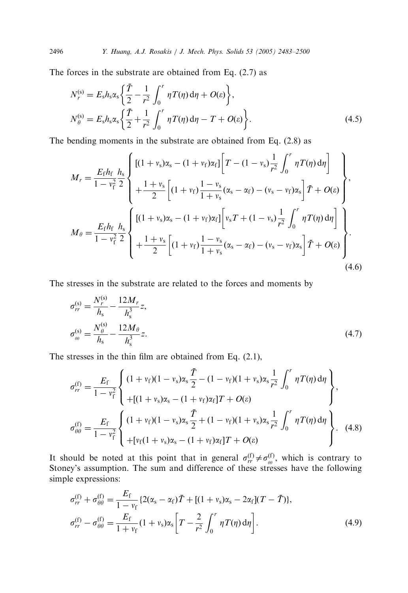The forces in the substrate are obtained from Eq.  $(2.7)$  as

$$
N_r^{(s)} = E_s h_s \alpha_s \left\{ \frac{\bar{T}}{2} - \frac{1}{r^2} \int_0^r \eta T(\eta) d\eta + O(\varepsilon) \right\},
$$
  
\n
$$
N_\theta^{(s)} = E_s h_s \alpha_s \left\{ \frac{\bar{T}}{2} + \frac{1}{r^2} \int_0^r \eta T(\eta) d\eta - T + O(\varepsilon) \right\}.
$$
\n(4.5)

The bending moments in the substrate are obtained from Eq. (2.8) as

$$
M_{r} = \frac{E_{f}h_{f}}{1 - v_{f}^{2}} \frac{h_{s}}{2} \left\{ \begin{aligned} &\left[ (1 + v_{s})\alpha_{s} - (1 + v_{f})\alpha_{f} \right] \left[ T - (1 - v_{s})\frac{1}{r^{2}} \int_{0}^{r} \eta T(\eta) d\eta \right] \\ &+ \frac{1 + v_{s}}{2} \left[ (1 + v_{f})\frac{1 - v_{s}}{1 + v_{s}} (\alpha_{s} - \alpha_{f}) - (v_{s} - v_{f})\alpha_{s} \right] \bar{T} + O(\varepsilon) \end{aligned} \right\},
$$

$$
M_{\theta} = \frac{E_{f}h_{f}}{1 - v_{f}^{2}} \frac{h_{s}}{2} \left\{ \begin{aligned} &\left[ (1 + v_{s})\alpha_{s} - (1 + v_{f})\alpha_{f} \right] \left[ v_{s}T + (1 - v_{s})\frac{1}{r^{2}} \int_{0}^{r} \eta T(\eta) d\eta \right] \\ &+ \frac{1 + v_{s}}{2} \left[ (1 + v_{f})\frac{1 - v_{s}}{1 + v_{s}} (\alpha_{s} - \alpha_{f}) - (v_{s} - v_{f})\alpha_{s} \right] \bar{T} + O(\varepsilon) \end{aligned} \right\}.
$$
(4.6)

The stresses in the substrate are related to the forces and moments by

$$
\sigma_{rr}^{(s)} = \frac{N_r^{(s)}}{h_s} - \frac{12M_r}{h_s^3} z,
$$
\n
$$
\sigma_{\theta\theta}^{(s)} = \frac{N_\theta^{(s)}}{h_s} - \frac{12M_\theta}{h_s^3} z.
$$
\n(4.7)

The stresses in the thin film are obtained from Eq.  $(2.1)$ ,

$$
\sigma_{rr}^{(f)} = \frac{E_f}{1 - v_f^2} \begin{cases} (1 + v_f)(1 - v_s)\alpha_s \frac{\bar{T}}{2} - (1 - v_f)(1 + v_s)\alpha_s \frac{1}{r^2} \int_0^r \eta T(\eta) d\eta \\ + [(1 + v_s)\alpha_s - (1 + v_f)\alpha_f]T + O(\epsilon) \end{cases},
$$
  

$$
\sigma_{\theta\theta}^{(f)} = \frac{E_f}{1 - v_f^2} \begin{cases} (1 + v_f)(1 - v_s)\alpha_s \frac{\bar{T}}{2} + (1 - v_f)(1 + v_s)\alpha_s \frac{1}{r^2} \int_0^r \eta T(\eta) d\eta \\ + [v_f(1 + v_s)\alpha_s - (1 + v_f)\alpha_f]T + O(\epsilon) \end{cases}
$$
(4.8)

It should be noted at this point that in general  $\sigma_{rr}^{(f)} \neq \sigma_{\theta\theta}^{(f)}$ , which is contrary to Stoney's assumption. The sum and difference of these stresses have the following simple expressions:

$$
\sigma_{rr}^{(f)} + \sigma_{\theta\theta}^{(f)} = \frac{E_f}{1 - v_f} \{ 2(\alpha_s - \alpha_f) \bar{T} + [(1 + v_s)\alpha_s - 2\alpha_f](T - \bar{T}) \},
$$
\n
$$
\sigma_{rr}^{(f)} - \sigma_{\theta\theta}^{(f)} = \frac{E_f}{1 + v_f} (1 + v_s)\alpha_s \left[ T - \frac{2}{r^2} \int_0^r \eta T(\eta) d\eta \right].
$$
\n(4.9)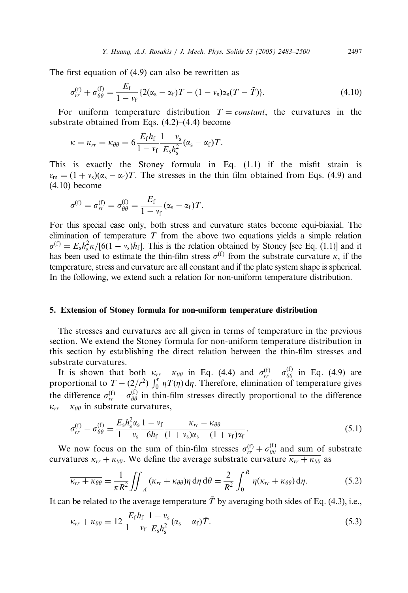The first equation of (4.9) can also be rewritten as

$$
\sigma_{rr}^{(f)} + \sigma_{\theta\theta}^{(f)} = \frac{E_f}{1 - v_f} \{ 2(\alpha_s - \alpha_f)T - (1 - v_s)\alpha_s(T - \bar{T}) \}.
$$
\n(4.10)

For uniform temperature distribution  $T = constant$ , the curvatures in the substrate obtained from Eqs.  $(4.2)$ – $(4.4)$  become

$$
\kappa = \kappa_{rr} = \kappa_{\theta\theta} = 6 \frac{E_f h_f}{1 - v_f} \frac{1 - v_s}{E_s h_s^2} (\alpha_s - \alpha_f) T.
$$

This is exactly the Stoney formula in Eq. (1.1) if the misfit strain is  $\varepsilon_m = (1 + v_s)(\alpha_s - \alpha_f)T$ . The stresses in the thin film obtained from Eqs. (4.9) and (4.10) become

$$
\sigma^{(f)} = \sigma_{rr}^{(f)} = \sigma_{\theta\theta}^{(f)} = \frac{E_f}{1 - v_f} (\alpha_s - \alpha_f) T.
$$

For this special case only, both stress and curvature states become equi-biaxial. The elimination of temperature  $T$  from the above two equations yields a simple relation  $\sigma^{(f)} = E_s h_s^2 \kappa / [6(1 - v_s)h_f]$ . This is the relation obtained by Stoney [see Eq. (1.1)] and it has been used to estimate the thin-film stress  $\sigma^{(f)}$  from the substrate curvature  $\kappa$ , if the temperature, stress and curvature are all constant and if the plate system shape is spherical. In the following, we extend such a relation for non-uniform temperature distribution.

### 5. Extension of Stoney formula for non-uniform temperature distribution

The stresses and curvatures are all given in terms of temperature in the previous section. We extend the Stoney formula for non-uniform temperature distribution in this section by establishing the direct relation between the thin-film stresses and substrate curvatures.

It is shown that both  $\kappa_{rr} - \kappa_{\theta\theta}$  in Eq. (4.4) and  $\sigma_{rr}^{(f)} - \sigma_{\theta\theta}^{(f)}$  in Eq. (4.9) are proportional to  $T - (2/r^2) \int_0^r \eta T(\eta) d\eta$ . Therefore, elimination of temperature gives the difference  $\sigma_{rr}^{(f)} - \sigma_{\theta\theta}^{(f)}$  in thin-film stresses directly proportional to the difference  $\kappa_{rr} - \kappa_{\theta\theta}$  in substrate curvatures,

$$
\sigma_{rr}^{(f)} - \sigma_{\theta\theta}^{(f)} = \frac{E_s h_s^2 \alpha_s}{1 - v_s} \frac{1 - v_f}{6h_f} \frac{\kappa_{rr} - \kappa_{\theta\theta}}{(1 + v_s)\alpha_s - (1 + v_f)\alpha_f}.
$$
\n(5.1)

We now focus on the sum of thin-film stresses  $\sigma_{rr}^{(f)} + \sigma_{\theta\theta}^{(f)}$  and sum of substrate curvatures  $\kappa_{rr} + \kappa_{\theta\theta}$ . We define the average substrate curvature  $\overline{\kappa_{rr} + \kappa_{\theta\theta}}$  as

$$
\overline{\kappa_{rr} + \kappa_{\theta\theta}} = \frac{1}{\pi R^2} \iint_A (\kappa_{rr} + \kappa_{\theta\theta}) \eta \, \mathrm{d}\eta \, \mathrm{d}\theta = \frac{2}{R^2} \int_0^R \eta(\kappa_{rr} + \kappa_{\theta\theta}) \, \mathrm{d}\eta. \tag{5.2}
$$

It can be related to the average temperature  $\bar{T}$  by averaging both sides of Eq. (4.3), i.e.,

$$
\overline{\kappa_{rr} + \kappa_{\theta\theta}} = 12 \frac{E_f h_f}{1 - v_f} \frac{1 - v_s}{E_s h_s^2} (\alpha_s - \alpha_f) \overline{T}.
$$
\n(5.3)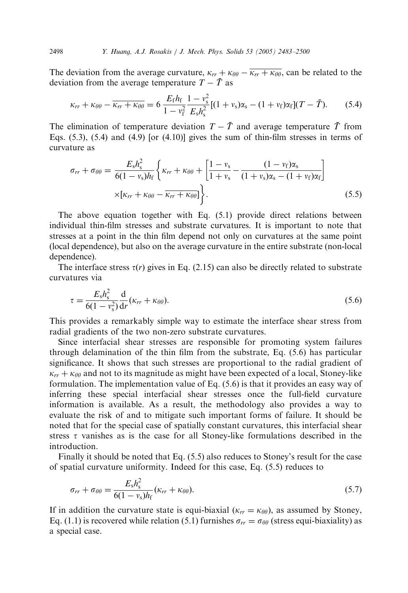The deviation from the average curvature,  $\kappa_{rr} + \kappa_{\theta\theta} - \overline{\kappa_{rr} + \kappa_{\theta\theta}}$ , can be related to the deviation from the average temperature  $T - \bar{T}$  as

$$
\kappa_{rr} + \kappa_{\theta\theta} - \overline{\kappa_{rr} + \kappa_{\theta\theta}} = 6 \frac{E_f h_f}{1 - v_f^2} \frac{1 - v_s^2}{E_s h_s^2} [(1 + v_s) \alpha_s - (1 + v_f) \alpha_f](T - \overline{T}). \tag{5.4}
$$

The elimination of temperature deviation  $T - \bar{T}$  and average temperature  $\bar{T}$  from Eqs.  $(5.3)$ ,  $(5.4)$  and  $(4.9)$  [or  $(4.10)$ ] gives the sum of thin-film stresses in terms of curvature as

$$
\sigma_{rr} + \sigma_{\theta\theta} = \frac{E_s h_s^2}{6(1 - v_s)h_f} \left\{ \kappa_{rr} + \kappa_{\theta\theta} + \left[ \frac{1 - v_s}{1 + v_s} - \frac{(1 - v_f)\alpha_s}{(1 + v_s)\alpha_s - (1 + v_f)\alpha_f} \right] \times \left[ \kappa_{rr} + \kappa_{\theta\theta} - \overline{\kappa_{rr} + \kappa_{\theta\theta}} \right] \right\}.
$$
\n(5.5)

The above equation together with Eq. (5.1) provide direct relations between individual thin-film stresses and substrate curvatures. It is important to note that stresses at a point in the thin film depend not only on curvatures at the same point (local dependence), but also on the average curvature in the entire substrate (non-local dependence).

The interface stress  $\tau(r)$  gives in Eq. (2.15) can also be directly related to substrate curvatures via

$$
\tau = \frac{E_s h_s^2}{6(1 - v_s^2)} \frac{d}{dr} (\kappa_{rr} + \kappa_{\theta\theta}).
$$
\n(5.6)

This provides a remarkably simple way to estimate the interface shear stress from radial gradients of the two non-zero substrate curvatures.

Since interfacial shear stresses are responsible for promoting system failures through delamination of the thin film from the substrate, Eq. (5.6) has particular significance. It shows that such stresses are proportional to the radial gradient of  $k_{rr} + k_{\theta\theta}$  and not to its magnitude as might have been expected of a local, Stoney-like formulation. The implementation value of Eq. (5.6) is that it provides an easy way of inferring these special interfacial shear stresses once the full-field curvature information is available. As a result, the methodology also provides a way to evaluate the risk of and to mitigate such important forms of failure. It should be noted that for the special case of spatially constant curvatures, this interfacial shear stress  $\tau$  vanishes as is the case for all Stoney-like formulations described in the introduction.

Finally it should be noted that Eq. (5.5) also reduces to Stoney's result for the case of spatial curvature uniformity. Indeed for this case, Eq. (5.5) reduces to

$$
\sigma_{rr} + \sigma_{\theta\theta} = \frac{E_s h_s^2}{6(1 - v_s)h_f} (\kappa_{rr} + \kappa_{\theta\theta}).
$$
\n(5.7)

If in addition the curvature state is equi-biaxial  $(\kappa_{rr} = \kappa_{\theta\theta})$ , as assumed by Stoney, Eq. (1.1) is recovered while relation (5.1) furnishes  $\sigma_{rr} = \sigma_{\theta\theta}$  (stress equi-biaxiality) as a special case.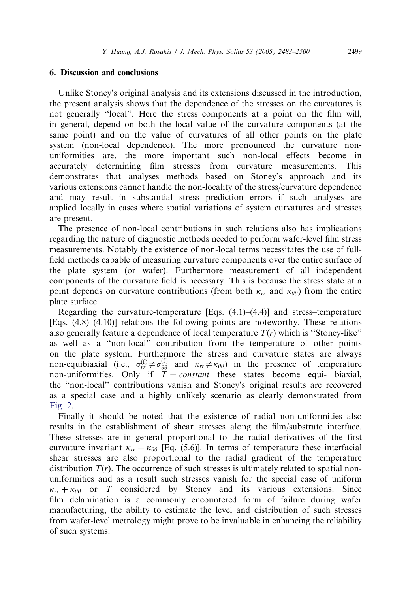## 6. Discussion and conclusions

Unlike Stoney's original analysis and its extensions discussed in the introduction, the present analysis shows that the dependence of the stresses on the curvatures is not generally ''local''. Here the stress components at a point on the film will, in general, depend on both the local value of the curvature components (at the same point) and on the value of curvatures of all other points on the plate system (non-local dependence). The more pronounced the curvature nonuniformities are, the more important such non-local effects become in accurately determining film stresses from curvature measurements. This demonstrates that analyses methods based on Stoney's approach and its various extensions cannot handle the non-locality of the stress/curvature dependence and may result in substantial stress prediction errors if such analyses are applied locally in cases where spatial variations of system curvatures and stresses are present.

The presence of non-local contributions in such relations also has implications regarding the nature of diagnostic methods needed to perform wafer-level film stress measurements. Notably the existence of non-local terms necessitates the use of fullfield methods capable of measuring curvature components over the entire surface of the plate system (or wafer). Furthermore measurement of all independent components of the curvature field is necessary. This is because the stress state at a point depends on curvature contributions (from both  $\kappa_{rr}$  and  $\kappa_{\theta\theta}$ ) from the entire plate surface.

Regarding the curvature-temperature [Eqs.  $(4.1)$ – $(4.4)$ ] and stress–temperature [Eqs. (4.8)–(4.10)] relations the following points are noteworthy. These relations also generally feature a dependence of local temperature  $T(r)$  which is "Stoney-like" as well as a "non-local" contribution from the temperature of other points on the plate system. Furthermore the stress and curvature states are always non-equibiaxial (i.e.,  $\sigma_{rr}^{(f)} \neq \sigma_{\theta\theta}^{(f)}$  and  $\kappa_{rr} \neq \kappa_{\theta\theta}$ ) in the presence of temperature non-uniformities. Only if  $\overline{T} = constant$  these states become equi- biaxial, the ''non-local'' contributions vanish and Stoney's original results are recovered as a special case and a highly unlikely scenario as clearly demonstrated from [Fig. 2](#page-5-0).

Finally it should be noted that the existence of radial non-uniformities also results in the establishment of shear stresses along the film/substrate interface. These stresses are in general proportional to the radial derivatives of the first curvature invariant  $\kappa_{rr} + \kappa_{\theta\theta}$  [Eq. (5.6)]. In terms of temperature these interfacial shear stresses are also proportional to the radial gradient of the temperature distribution  $T(r)$ . The occurrence of such stresses is ultimately related to spatial nonuniformities and as a result such stresses vanish for the special case of uniform  $\kappa_{rr} + \kappa_{\theta\theta}$  or T considered by Stoney and its various extensions. Since film delamination is a commonly encountered form of failure during wafer manufacturing, the ability to estimate the level and distribution of such stresses from wafer-level metrology might prove to be invaluable in enhancing the reliability of such systems.